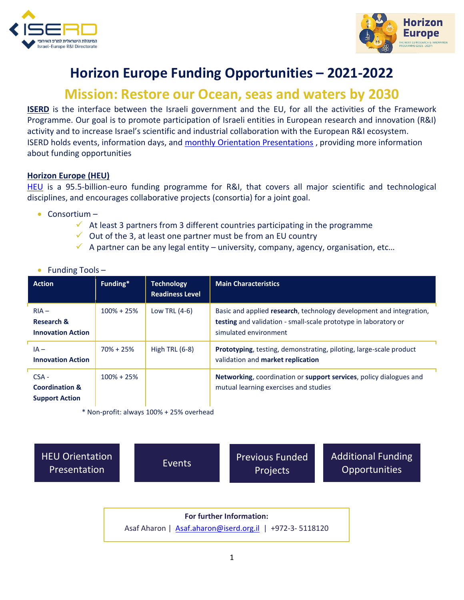



## **Horizon Europe Funding Opportunities – 2021-2022**

## **Mission: Restore our Ocean, seas and waters by 2030**

**ISERD** is the interface between the Israeli government and the EU, for all the activities of the Framework Programme. Our goal is to promote participation of Israeli entities in European research and innovation (R&I) activity and to increase Israel's scientific and industrial collaboration with the European R&I ecosystem. ISERD holds events, information days, and [monthly Orientation Presentations](https://www.innovationisrael.org.il/ISERD/page/news-events) , providing more information about funding opportunities

## **Horizon Europe (HEU)**

[HEU](https://ec.europa.eu/info/horizon-europe_en) is a 95.5-billion-euro funding programme for R&I, that covers all major scientific and technological disciplines, and encourages collaborative projects (consortia) for a joint goal.

- Consortium
	- $\checkmark$  At least 3 partners from 3 different countries participating in the programme
	- $\checkmark$  Out of the 3, at least one partner must be from an EU country
	- $\checkmark$  A partner can be any legal entity university, company, agency, organisation, etc...

|  | Funding Tools- |  |  |
|--|----------------|--|--|
|--|----------------|--|--|

| <b>Action</b>                                                 | Funding*       | <b>Technology</b><br><b>Readiness Level</b> | <b>Main Characteristics</b>                                                                                                                                            |
|---------------------------------------------------------------|----------------|---------------------------------------------|------------------------------------------------------------------------------------------------------------------------------------------------------------------------|
| $RIA -$<br><b>Research &amp;</b><br><b>Innovation Action</b>  | $100\% + 25\%$ | Low TRL $(4-6)$                             | Basic and applied research, technology development and integration,<br><b>testing</b> and validation - small-scale prototype in laboratory or<br>simulated environment |
| $IA -$<br><b>Innovation Action</b>                            | $70\% + 25\%$  | High TRL $(6-8)$                            | Prototyping, testing, demonstrating, piloting, large-scale product<br>validation and market replication                                                                |
| $CSA -$<br><b>Coordination &amp;</b><br><b>Support Action</b> | $100\% + 25\%$ |                                             | Networking, coordination or support services, policy dialogues and<br>mutual learning exercises and studies                                                            |

\* Non-profit: always 100% + 25% overhead

[HEU Orientation](https://www.youtube.com/playlist?list=PL_qAG9k4QGULhTQ0HUKtVdFDIPe8zBUbZ) 

EU Orientation [Events](https://www.innovationisrael.org.il/ISERD/page/news-events)<br>Presentation Events Projects Projects

[Additional Funding](https://www.innovationisrael.org.il/ISERD/page/what-am-i-looking)  **Opportunities** 

**For further Information:**  Asaf Aharon | [Asaf.aharon@iserd.org.il](mailto:Asaf.aharon@iserd.org.il) | +972-3- 5118120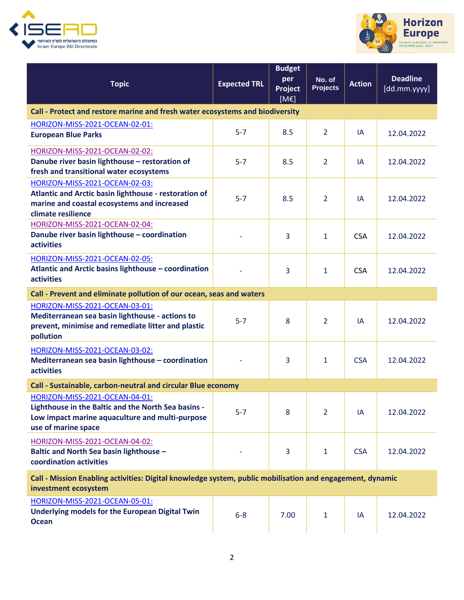



| <b>Topic</b>                                                                                                                                                    | <b>Expected TRL</b> | <b>Budget</b><br>per<br>Project<br>[ME] | No. of<br><b>Projects</b> | <b>Action</b> | <b>Deadline</b><br>[dd.mm.yyyy] |  |
|-----------------------------------------------------------------------------------------------------------------------------------------------------------------|---------------------|-----------------------------------------|---------------------------|---------------|---------------------------------|--|
| Call - Protect and restore marine and fresh water ecosystems and biodiversity                                                                                   |                     |                                         |                           |               |                                 |  |
| HORIZON-MISS-2021-OCEAN-02-01:<br><b>European Blue Parks</b>                                                                                                    | $5 - 7$             | 8.5                                     | $\overline{2}$            | IA            | 12.04.2022                      |  |
| HORIZON-MISS-2021-OCEAN-02-02:<br>Danube river basin lighthouse - restoration of<br>fresh and transitional water ecosystems                                     | $5 - 7$             | 8.5                                     | $\overline{2}$            | IA            | 12.04.2022                      |  |
| HORIZON-MISS-2021-OCEAN-02-03:<br>Atlantic and Arctic basin lighthouse - restoration of<br>marine and coastal ecosystems and increased<br>climate resilience    | $5 - 7$             | 8.5                                     | $\overline{2}$            | IA            | 12.04.2022                      |  |
| HORIZON-MISS-2021-OCEAN-02-04:<br>Danube river basin lighthouse - coordination<br>activities                                                                    |                     | 3                                       | $\mathbf{1}$              | <b>CSA</b>    | 12.04.2022                      |  |
| HORIZON-MISS-2021-OCEAN-02-05:<br>Atlantic and Arctic basins lighthouse - coordination<br><b>activities</b>                                                     |                     | 3                                       | $\mathbf{1}$              | <b>CSA</b>    | 12.04.2022                      |  |
| Call - Prevent and eliminate pollution of our ocean, seas and waters                                                                                            |                     |                                         |                           |               |                                 |  |
| HORIZON-MISS-2021-OCEAN-03-01:<br>Mediterranean sea basin lighthouse - actions to<br>prevent, minimise and remediate litter and plastic<br>pollution            | $5 - 7$             | 8                                       | $\overline{2}$            | IA            | 12.04.2022                      |  |
| HORIZON-MISS-2021-OCEAN-03-02:<br>Mediterranean sea basin lighthouse - coordination<br><b>activities</b>                                                        |                     | 3                                       | $\mathbf{1}$              | <b>CSA</b>    | 12.04.2022                      |  |
| Call - Sustainable, carbon-neutral and circular Blue economy                                                                                                    |                     |                                         |                           |               |                                 |  |
| HORIZON-MISS-2021-OCEAN-04-01:<br>Lighthouse in the Baltic and the North Sea basins -<br>Low impact marine aquaculture and multi-purpose<br>use of marine space | $5-7$               | 8                                       | 2                         | IA            | 12.04.2022                      |  |
| HORIZON-MISS-2021-OCEAN-04-02:<br>Baltic and North Sea basin lighthouse -<br>coordination activities                                                            |                     | 3                                       | $\mathbf{1}$              | <b>CSA</b>    | 12.04.2022                      |  |
| Call - Mission Enabling activities: Digital knowledge system, public mobilisation and engagement, dynamic<br>investment ecosystem                               |                     |                                         |                           |               |                                 |  |
| HORIZON-MISS-2021-OCEAN-05-01:<br><b>Underlying models for the European Digital Twin</b><br><b>Ocean</b>                                                        | $6 - 8$             | 7.00                                    | $\mathbf{1}$              | IA            | 12.04.2022                      |  |